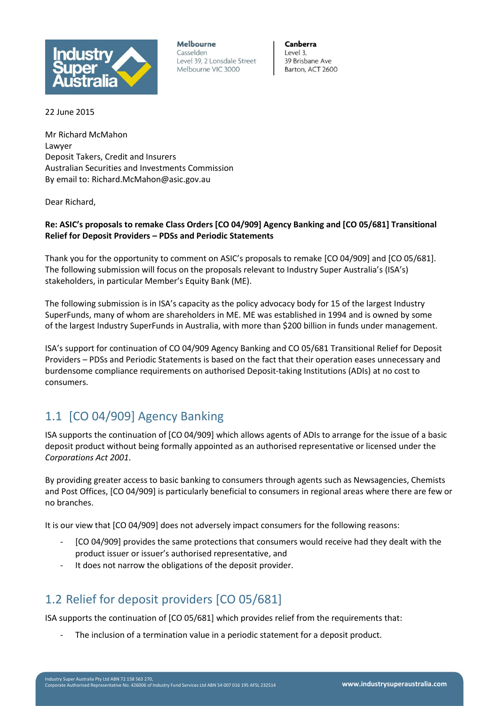

**Melbourne** Casselden Level 39, 2 Lonsdale Street Melbourne VIC 3000

Canberra Level 3. 39 Brisbane Ave Barton, ACT 2600

22 June 2015

Mr Richard McMahon Lawyer Deposit Takers, Credit and Insurers Australian Securities and Investments Commission By email to: Richard.McMahon@asic.gov.au

Dear Richard,

### **Re: ASIC's proposals to remake Class Orders [CO 04/909] Agency Banking and [CO 05/681] Transitional Relief for Deposit Providers – PDSs and Periodic Statements**

Thank you for the opportunity to comment on ASIC's proposals to remake [CO 04/909] and [CO 05/681]. The following submission will focus on the proposals relevant to Industry Super Australia's (ISA's) stakeholders, in particular Member's Equity Bank (ME).

The following submission is in ISA's capacity as the policy advocacy body for 15 of the largest Industry SuperFunds, many of whom are shareholders in ME. ME was established in 1994 and is owned by some of the largest Industry SuperFunds in Australia, with more than \$200 billion in funds under management.

ISA's support for continuation of CO 04/909 Agency Banking and CO 05/681 Transitional Relief for Deposit Providers – PDSs and Periodic Statements is based on the fact that their operation eases unnecessary and burdensome compliance requirements on authorised Deposit-taking Institutions (ADIs) at no cost to consumers.

# 1.1 [CO 04/909] Agency Banking

ISA supports the continuation of [CO 04/909] which allows agents of ADIs to arrange for the issue of a basic deposit product without being formally appointed as an authorised representative or licensed under the *Corporations Act 2001*.

By providing greater access to basic banking to consumers through agents such as Newsagencies, Chemists and Post Offices, [CO 04/909] is particularly beneficial to consumers in regional areas where there are few or no branches.

It is our view that [CO 04/909] does not adversely impact consumers for the following reasons:

- [CO 04/909] provides the same protections that consumers would receive had they dealt with the product issuer or issuer's authorised representative, and
- It does not narrow the obligations of the deposit provider.

## 1.2 Relief for deposit providers [CO 05/681]

ISA supports the continuation of [CO 05/681] which provides relief from the requirements that:

The inclusion of a termination value in a periodic statement for a deposit product.